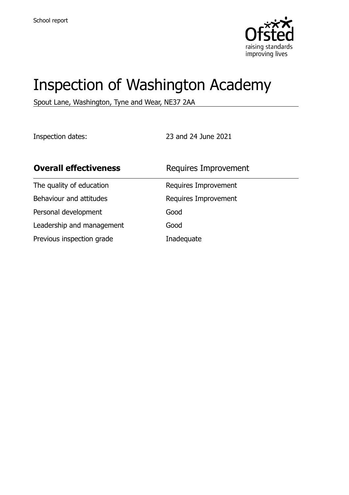

# Inspection of Washington Academy

Spout Lane, Washington, Tyne and Wear, NE37 2AA

Inspection dates: 23 and 24 June 2021

| <b>Overall effectiveness</b> | Requires Improvement |  |
|------------------------------|----------------------|--|
| The quality of education     | Requires Improvement |  |
| Behaviour and attitudes      | Requires Improvement |  |
| Personal development         | Good                 |  |
| Leadership and management    | Good                 |  |
| Previous inspection grade    | Inadequate           |  |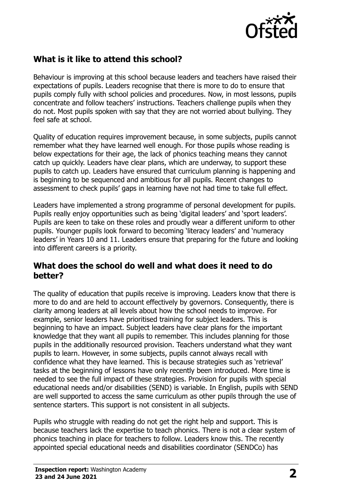

#### **What is it like to attend this school?**

Behaviour is improving at this school because leaders and teachers have raised their expectations of pupils. Leaders recognise that there is more to do to ensure that pupils comply fully with school policies and procedures. Now, in most lessons, pupils concentrate and follow teachers' instructions. Teachers challenge pupils when they do not. Most pupils spoken with say that they are not worried about bullying. They feel safe at school.

Quality of education requires improvement because, in some subjects, pupils cannot remember what they have learned well enough. For those pupils whose reading is below expectations for their age, the lack of phonics teaching means they cannot catch up quickly. Leaders have clear plans, which are underway, to support these pupils to catch up. Leaders have ensured that curriculum planning is happening and is beginning to be sequenced and ambitious for all pupils. Recent changes to assessment to check pupils' gaps in learning have not had time to take full effect.

Leaders have implemented a strong programme of personal development for pupils. Pupils really enjoy opportunities such as being 'digital leaders' and 'sport leaders'. Pupils are keen to take on these roles and proudly wear a different uniform to other pupils. Younger pupils look forward to becoming 'literacy leaders' and 'numeracy leaders' in Years 10 and 11. Leaders ensure that preparing for the future and looking into different careers is a priority.

#### **What does the school do well and what does it need to do better?**

The quality of education that pupils receive is improving. Leaders know that there is more to do and are held to account effectively by governors. Consequently, there is clarity among leaders at all levels about how the school needs to improve. For example, senior leaders have prioritised training for subject leaders. This is beginning to have an impact. Subject leaders have clear plans for the important knowledge that they want all pupils to remember. This includes planning for those pupils in the additionally resourced provision. Teachers understand what they want pupils to learn. However, in some subjects, pupils cannot always recall with confidence what they have learned. This is because strategies such as 'retrieval' tasks at the beginning of lessons have only recently been introduced. More time is needed to see the full impact of these strategies. Provision for pupils with special educational needs and/or disabilities (SEND) is variable. In English, pupils with SEND are well supported to access the same curriculum as other pupils through the use of sentence starters. This support is not consistent in all subjects.

Pupils who struggle with reading do not get the right help and support. This is because teachers lack the expertise to teach phonics. There is not a clear system of phonics teaching in place for teachers to follow. Leaders know this. The recently appointed special educational needs and disabilities coordinator (SENDCo) has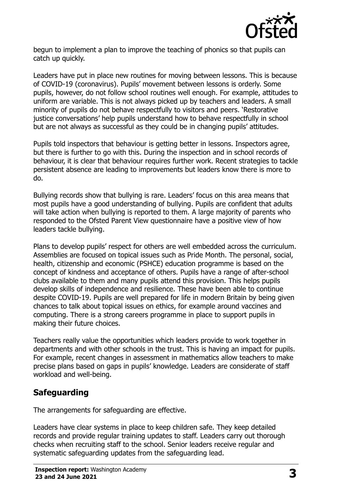

begun to implement a plan to improve the teaching of phonics so that pupils can catch up quickly.

Leaders have put in place new routines for moving between lessons. This is because of COVID-19 (coronavirus). Pupils' movement between lessons is orderly. Some pupils, however, do not follow school routines well enough. For example, attitudes to uniform are variable. This is not always picked up by teachers and leaders. A small minority of pupils do not behave respectfully to visitors and peers. 'Restorative justice conversations' help pupils understand how to behave respectfully in school but are not always as successful as they could be in changing pupils' attitudes.

Pupils told inspectors that behaviour is getting better in lessons. Inspectors agree, but there is further to go with this. During the inspection and in school records of behaviour, it is clear that behaviour requires further work. Recent strategies to tackle persistent absence are leading to improvements but leaders know there is more to do.

Bullying records show that bullying is rare. Leaders' focus on this area means that most pupils have a good understanding of bullying. Pupils are confident that adults will take action when bullying is reported to them. A large majority of parents who responded to the Ofsted Parent View questionnaire have a positive view of how leaders tackle bullying.

Plans to develop pupils' respect for others are well embedded across the curriculum. Assemblies are focused on topical issues such as Pride Month. The personal, social, health, citizenship and economic (PSHCE) education programme is based on the concept of kindness and acceptance of others. Pupils have a range of after-school clubs available to them and many pupils attend this provision. This helps pupils develop skills of independence and resilience. These have been able to continue despite COVID-19. Pupils are well prepared for life in modern Britain by being given chances to talk about topical issues on ethics, for example around vaccines and computing. There is a strong careers programme in place to support pupils in making their future choices.

Teachers really value the opportunities which leaders provide to work together in departments and with other schools in the trust. This is having an impact for pupils. For example, recent changes in assessment in mathematics allow teachers to make precise plans based on gaps in pupils' knowledge. Leaders are considerate of staff workload and well-being.

# **Safeguarding**

The arrangements for safeguarding are effective.

Leaders have clear systems in place to keep children safe. They keep detailed records and provide regular training updates to staff. Leaders carry out thorough checks when recruiting staff to the school. Senior leaders receive regular and systematic safeguarding updates from the safeguarding lead.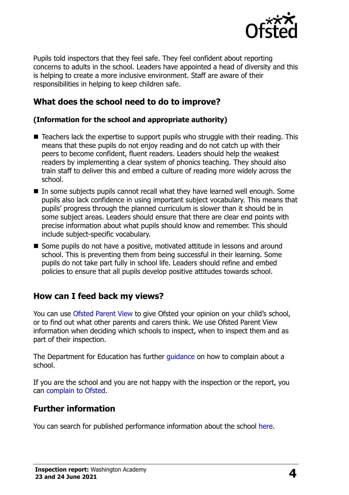

Pupils told inspectors that they feel safe. They feel confident about reporting concerns to adults in the school. Leaders have appointed a head of diversity and this is helping to create a more inclusive environment. Staff are aware of their responsibilities in helping to keep children safe.

#### **What does the school need to do to improve?**

#### **(Information for the school and appropriate authority)**

- Teachers lack the expertise to support pupils who struggle with their reading. This means that these pupils do not enjoy reading and do not catch up with their peers to become confident, fluent readers. Leaders should help the weakest readers by implementing a clear system of phonics teaching. They should also train staff to deliver this and embed a culture of reading more widely across the school.
- In some subjects pupils cannot recall what they have learned well enough. Some pupils also lack confidence in using important subject vocabulary. This means that pupils' progress through the planned curriculum is slower than it should be in some subject areas. Leaders should ensure that there are clear end points with precise information about what pupils should know and remember. This should include subject-specific vocabulary.
- Some pupils do not have a positive, motivated attitude in lessons and around school. This is preventing them from being successful in their learning. Some pupils do not take part fully in school life. Leaders should refine and embed policies to ensure that all pupils develop positive attitudes towards school.

## **How can I feed back my views?**

You can use [Ofsted Parent View](http://parentview.ofsted.gov.uk/) to give Ofsted your opinion on your child's school, or to find out what other parents and carers think. We use Ofsted Parent View information when deciding which schools to inspect, when to inspect them and as part of their inspection.

The Department for Education has further [guidance](http://www.gov.uk/complain-about-school) on how to complain about a school.

If you are the school and you are not happy with the inspection or the report, you can [complain to Ofsted.](http://www.gov.uk/complain-ofsted-report)

## **Further information**

You can search for published performance information about the school [here.](http://www.compare-school-performance.service.gov.uk/)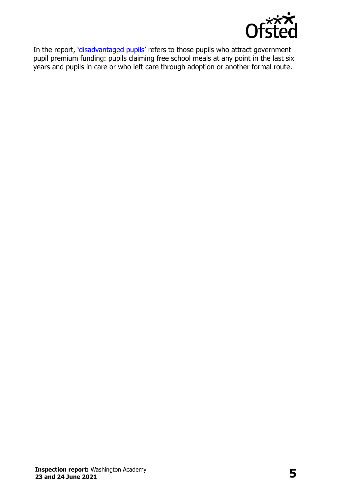

In the report, '[disadvantaged pupils](http://www.gov.uk/guidance/pupil-premium-information-for-schools-and-alternative-provision-settings)' refers to those pupils who attract government pupil premium funding: pupils claiming free school meals at any point in the last six years and pupils in care or who left care through adoption or another formal route.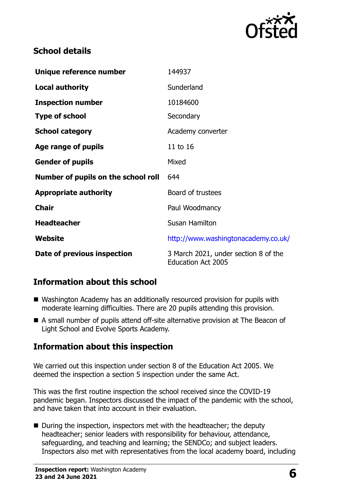

#### **School details**

| Unique reference number             | 144937                                                            |  |
|-------------------------------------|-------------------------------------------------------------------|--|
| <b>Local authority</b>              | Sunderland                                                        |  |
| <b>Inspection number</b>            | 10184600                                                          |  |
| <b>Type of school</b>               | Secondary                                                         |  |
| <b>School category</b>              | Academy converter                                                 |  |
| Age range of pupils                 | 11 to 16                                                          |  |
| <b>Gender of pupils</b>             | Mixed                                                             |  |
| Number of pupils on the school roll | 644                                                               |  |
| <b>Appropriate authority</b>        | Board of trustees                                                 |  |
| <b>Chair</b>                        | Paul Woodmancy                                                    |  |
| <b>Headteacher</b>                  | <b>Susan Hamilton</b>                                             |  |
| Website                             | http://www.washingtonacademy.co.uk/                               |  |
| Date of previous inspection         | 3 March 2021, under section 8 of the<br><b>Education Act 2005</b> |  |

## **Information about this school**

- Washington Academy has an additionally resourced provision for pupils with moderate learning difficulties. There are 20 pupils attending this provision.
- A small number of pupils attend off-site alternative provision at The Beacon of Light School and Evolve Sports Academy.

#### **Information about this inspection**

We carried out this inspection under section 8 of the Education Act 2005. We deemed the inspection a section 5 inspection under the same Act.

This was the first routine inspection the school received since the COVID-19 pandemic began. Inspectors discussed the impact of the pandemic with the school, and have taken that into account in their evaluation.

■ During the inspection, inspectors met with the headteacher; the deputy headteacher; senior leaders with responsibility for behaviour, attendance, safeguarding, and teaching and learning; the SENDCo; and subject leaders. Inspectors also met with representatives from the local academy board, including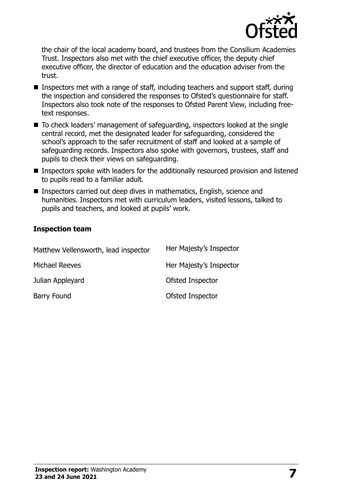

the chair of the local academy board, and trustees from the Consilium Academies Trust. Inspectors also met with the chief executive officer, the deputy chief executive officer, the director of education and the education adviser from the trust.

- Inspectors met with a range of staff, including teachers and support staff, during the inspection and considered the responses to Ofsted's questionnaire for staff. Inspectors also took note of the responses to Ofsted Parent View, including freetext responses.
- To check leaders' management of safeguarding, inspectors looked at the single central record, met the designated leader for safeguarding, considered the school's approach to the safer recruitment of staff and looked at a sample of safeguarding records. Inspectors also spoke with governors, trustees, staff and pupils to check their views on safeguarding.
- Inspectors spoke with leaders for the additionally resourced provision and listened to pupils read to a familiar adult.
- Inspectors carried out deep dives in mathematics, English, science and humanities. Inspectors met with curriculum leaders, visited lessons, talked to pupils and teachers, and looked at pupils' work.

#### **Inspection team**

| Matthew Vellensworth, lead inspector | Her Majesty's Inspector |
|--------------------------------------|-------------------------|
| Michael Reeves                       | Her Majesty's Inspector |
| Julian Appleyard                     | Ofsted Inspector        |
| Barry Found                          | Ofsted Inspector        |